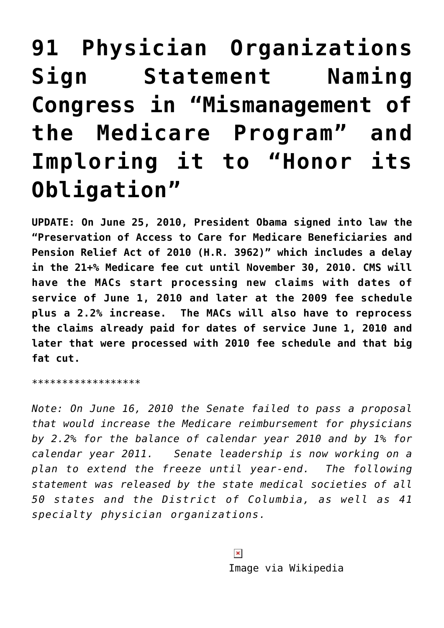## **[91 Physician Organizations](https://managemypractice.com/91-physician-organizations-sign-statement-naming-congress-in-mismanagement-of-the-medicare-program-and-imploring-it-to-honor-its-obligation/) [Sign Statement Naming](https://managemypractice.com/91-physician-organizations-sign-statement-naming-congress-in-mismanagement-of-the-medicare-program-and-imploring-it-to-honor-its-obligation/) [Congress in "Mismanagement of](https://managemypractice.com/91-physician-organizations-sign-statement-naming-congress-in-mismanagement-of-the-medicare-program-and-imploring-it-to-honor-its-obligation/) [the Medicare Program" and](https://managemypractice.com/91-physician-organizations-sign-statement-naming-congress-in-mismanagement-of-the-medicare-program-and-imploring-it-to-honor-its-obligation/) [Imploring it to "Honor its](https://managemypractice.com/91-physician-organizations-sign-statement-naming-congress-in-mismanagement-of-the-medicare-program-and-imploring-it-to-honor-its-obligation/) [Obligation"](https://managemypractice.com/91-physician-organizations-sign-statement-naming-congress-in-mismanagement-of-the-medicare-program-and-imploring-it-to-honor-its-obligation/)**

**UPDATE: On June 25, 2010, President Obama signed into law the "Preservation of Access to Care for Medicare Beneficiaries and Pension Relief Act of 2010 ([H.R. 3962](http://www.mmsend2.com/ls.cfm?r=89009797&sid=9923732&m=1043083&u=MGMA&s=http://finance.senate.gov/legislation/details/?id=bed977dc-5056-a032-520f-49d7b04df18f))" which includes a delay in the 21+% Medicare fee cut until November 30, 2010. CMS will have the MACs start processing new claims with dates of service of June 1, 2010 and later at the 2009 fee schedule plus a 2.2% increase. The MACs will also have to reprocess the claims already paid for dates of service June 1, 2010 and later that were processed with 2010 fee schedule and that big fat cut.**

\*\*\*\*\*\*\*\*\*\*\*\*\*\*\*\*\*\*

*Note: On June 16, 2010 the Senate failed to pass a proposal that would increase the Medicare reimbursement for physicians by 2.2% for the balance of calendar year 2010 and by 1% for calendar year 2011. Senate leadership is now working on a plan to extend the freeze until year-end. The following statement was released by the state medical societies of all 50 states and the District of Columbia, as well as 41 specialty physician organizations.*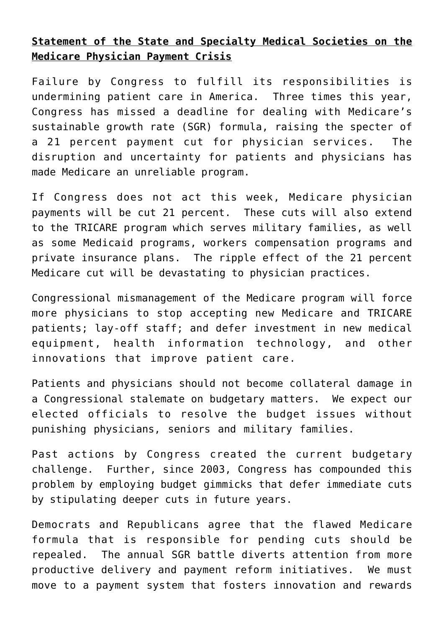## **Statement of the State and Specialty Medical Societies on the Medicare Physician Payment Crisis**

Failure by Congress to fulfill its responsibilities is undermining patient care in America. Three times this year, Congress has missed a deadline for dealing with Medicare's sustainable growth rate (SGR) formula, raising the specter of a 21 percent payment cut for physician services. The disruption and uncertainty for patients and physicians has made Medicare an unreliable program.

If Congress does not act this week, Medicare physician payments will be cut 21 percent. These cuts will also extend to the TRICARE program which serves military families, as well as some Medicaid programs, workers compensation programs and private insurance plans. The ripple effect of the 21 percent Medicare cut will be devastating to physician practices.

Congressional mismanagement of the Medicare program will force more physicians to stop accepting new Medicare and TRICARE patients; lay-off staff; and defer investment in new medical equipment, health information technology, and other innovations that improve patient care.

Patients and physicians should not become collateral damage in a Congressional stalemate on budgetary matters. We expect our elected officials to resolve the budget issues without punishing physicians, seniors and military families.

Past actions by Congress created the current budgetary challenge. Further, since 2003, Congress has compounded this problem by employing budget gimmicks that defer immediate cuts by stipulating deeper cuts in future years.

Democrats and Republicans agree that the flawed Medicare formula that is responsible for pending cuts should be repealed. The annual SGR battle diverts attention from more productive delivery and payment reform initiatives. We must move to a payment system that fosters innovation and rewards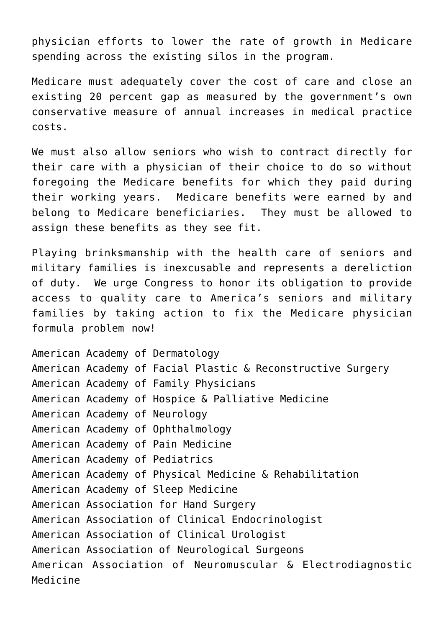physician efforts to lower the rate of growth in Medicare spending across the existing silos in the program.

Medicare must adequately cover the cost of care and close an existing 20 percent gap as measured by the government's own conservative measure of annual increases in medical practice costs.

We must also allow seniors who wish to contract directly for their care with a physician of their choice to do so without foregoing the Medicare benefits for which they paid during their working years. Medicare benefits were earned by and belong to Medicare beneficiaries. They must be allowed to assign these benefits as they see fit.

Playing brinksmanship with the health care of seniors and military families is inexcusable and represents a dereliction of duty. We urge Congress to honor its obligation to provide access to quality care to America's seniors and military families by taking action to fix the Medicare physician formula problem now!

American Academy of Dermatology American Academy of Facial Plastic & Reconstructive Surgery American Academy of Family Physicians American Academy of Hospice & Palliative Medicine American Academy of Neurology American Academy of Ophthalmology American Academy of Pain Medicine American Academy of Pediatrics American Academy of Physical Medicine & Rehabilitation American Academy of Sleep Medicine American Association for Hand Surgery American Association of Clinical Endocrinologist American Association of Clinical Urologist American Association of Neurological Surgeons American Association of Neuromuscular & Electrodiagnostic Medicine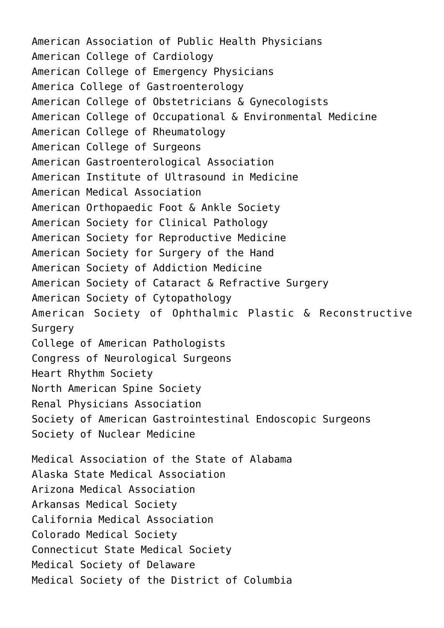American Association of Public Health Physicians American College of Cardiology American College of Emergency Physicians America College of Gastroenterology American College of Obstetricians & Gynecologists American College of Occupational & Environmental Medicine American College of Rheumatology American College of Surgeons American Gastroenterological Association American Institute of Ultrasound in Medicine American Medical Association American Orthopaedic Foot & Ankle Society American Society for Clinical Pathology American Society for Reproductive Medicine American Society for Surgery of the Hand American Society of Addiction Medicine American Society of Cataract & Refractive Surgery American Society of Cytopathology American Society of Ophthalmic Plastic & Reconstructive Surgery College of American Pathologists Congress of Neurological Surgeons Heart Rhythm Society North American Spine Society Renal Physicians Association Society of American Gastrointestinal Endoscopic Surgeons Society of Nuclear Medicine Medical Association of the State of Alabama Alaska State Medical Association Arizona Medical Association Arkansas Medical Society California Medical Association Colorado Medical Society Connecticut State Medical Society Medical Society of Delaware Medical Society of the District of Columbia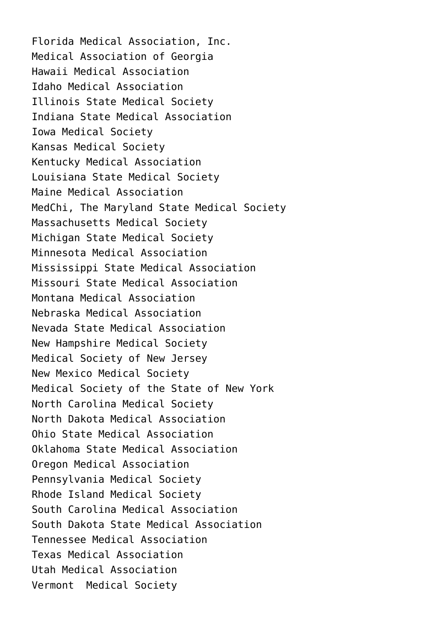Florida Medical Association, Inc. Medical Association of Georgia Hawaii Medical Association Idaho Medical Association Illinois State Medical Society Indiana State Medical Association Iowa Medical Society Kansas Medical Society Kentucky Medical Association Louisiana State Medical Society Maine Medical Association MedChi, The Maryland State Medical Society Massachusetts Medical Society Michigan State Medical Society Minnesota Medical Association Mississippi State Medical Association Missouri State Medical Association Montana Medical Association Nebraska Medical Association Nevada State Medical Association New Hampshire Medical Society Medical Society of New Jersey New Mexico Medical Society Medical Society of the State of New York North Carolina Medical Society North Dakota Medical Association Ohio State Medical Association Oklahoma State Medical Association Oregon Medical Association Pennsylvania Medical Society Rhode Island Medical Society South Carolina Medical Association South Dakota State Medical Association Tennessee Medical Association Texas Medical Association Utah Medical Association Vermont Medical Society